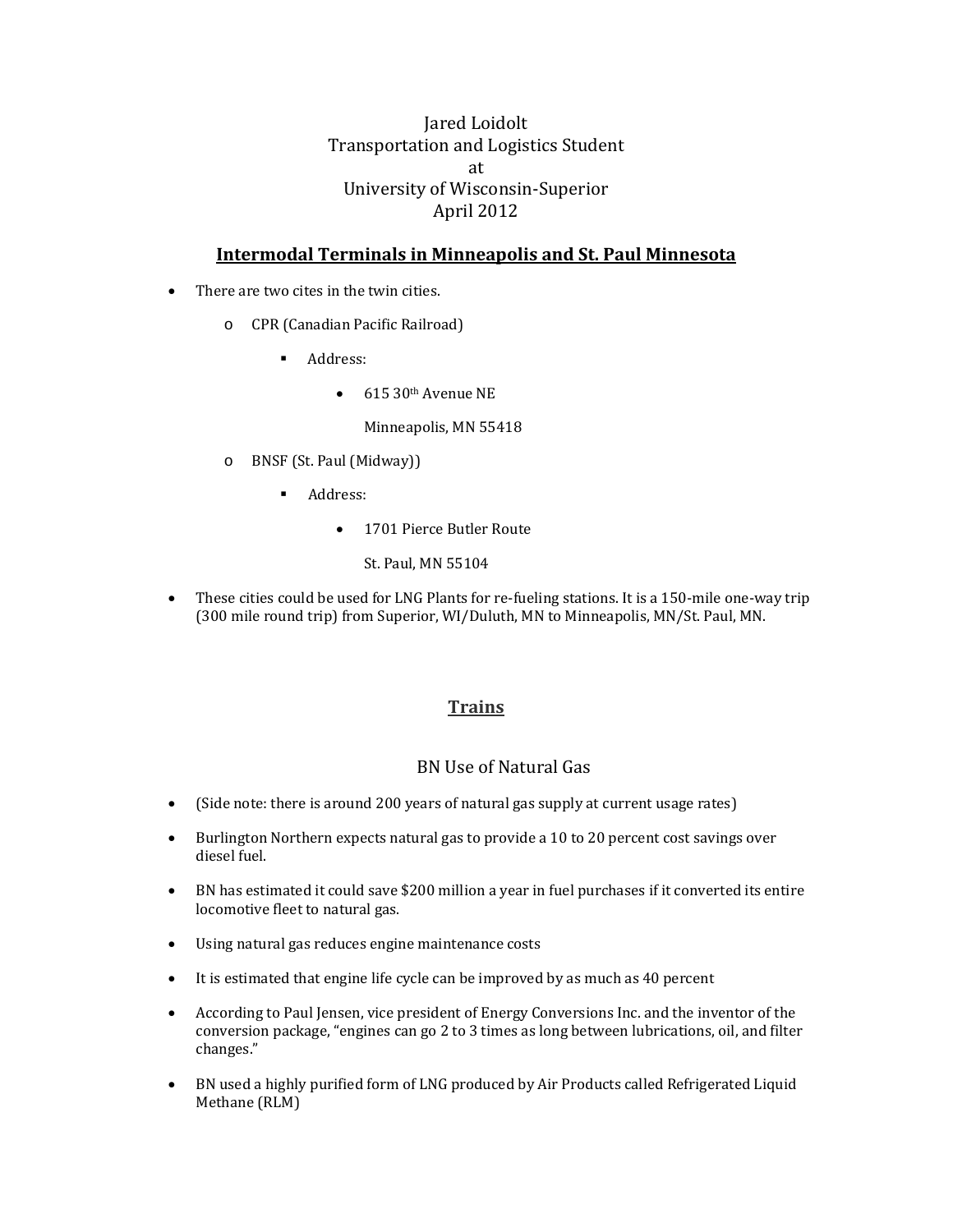## Jared Loidolt Transportation and Logistics Student at University of Wisconsin‐Superior April 2012

### **Intermodal Terminals in Minneapolis and St. Paul Minnesota**

- There are two cites in the twin cities.
	- o CPR (Canadian Pacific Railroad)
		- **Address:** 
			- $\bullet$  615 30<sup>th</sup> Avenue NE

Minneapolis, MN 55418

- o BNSF (St. Paul (Midway))
	- **Address:** 
		- 1701 Pierce Butler Route
			- St. Paul, MN 55104
- These cities could be used for LNG Plants for re-fueling stations. It is a 150-mile one-way trip (300 mile round trip) from Superior, WI/Duluth, MN to Minneapolis, MN/St. Paul, MN.

#### **Trains**

#### BN Use of Natural Gas

- (Side note: there is around 200 years of natural gas supply at current usage rates)
- Burlington Northern expects natural gas to provide a 10 to 20 percent cost savings over diesel fuel.
- BN has estimated it could save \$200 million a year in fuel purchases if it converted its entire locomotive fleet to natural gas.
- Using natural gas reduces engine maintenance costs
- It is estimated that engine life cycle can be improved by as much as 40 percent
- According to Paul Jensen, vice president of Energy Conversions Inc. and the inventor of the conversion package, "engines can go 2 to 3 times as long between lubrications, oil, and filter changes."
- BN used a highly purified form of LNG produced by Air Products called Refrigerated Liquid Methane (RLM)